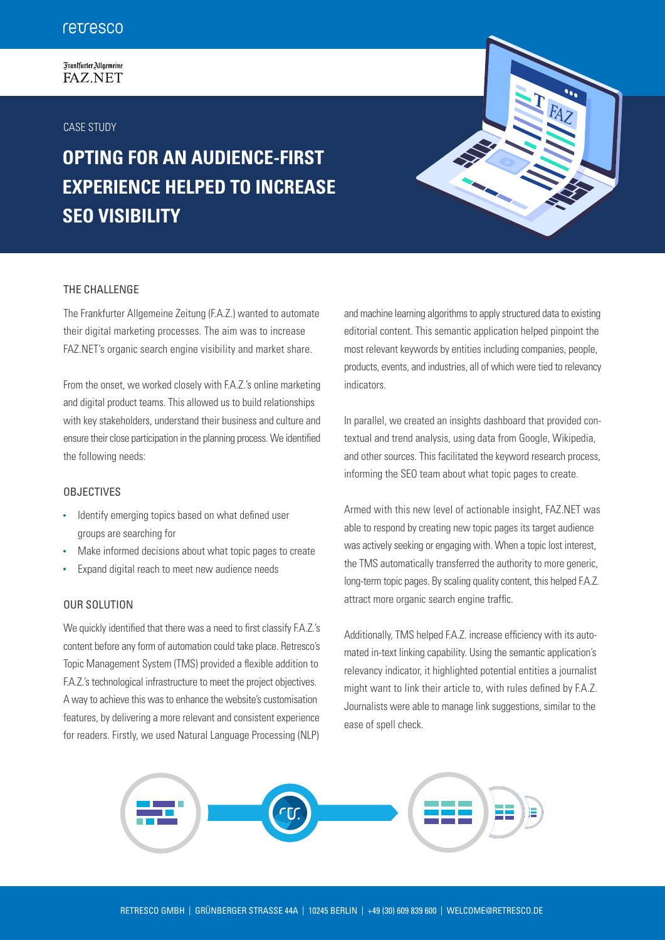# Frankfurter Allgemeine **FAZ.NET**

# CASE STUDY

# **OPTING FOR AN AUDIENCE-FIRST EXPERIENCE HELPED TO INCREASE SEO VISIBILITY**

# THE CHALLENGE

The Frankfurter Allgemeine Zeitung (F.A.Z.) wanted to automate their digital marketing processes. The aim was to increase FAZ.NET's organic search engine visibility and market share.

From the onset, we worked closely with F.A.Z.'s online marketing and digital product teams. This allowed us to build relationships with key stakeholders, understand their business and culture and ensure their close participation in the planning process. We identified the following needs:

## **OBJECTIVES**

- Identify emerging topics based on what defined user groups are searching for
- Make informed decisions about what topic pages to create
- Expand digital reach to meet new audience needs

# OUR SOLUTION

We quickly identified that there was a need to first classify F.A.Z.'s content before any form of automation could take place. Retresco's Topic Management System (TMS) provided a flexible addition to F.A.Z.'s technological infrastructure to meet the project objectives. A way to achieve this was to enhance the website's customisation features, by delivering a more relevant and consistent experience for readers. Firstly, we used Natural Language Processing (NLP)

and machine learning algorithms to apply structured data to existing editorial content. This semantic application helped pinpoint the most relevant keywords by entities including companies, people, products, events, and industries, all of which were tied to relevancy indicators.

FA<sub>Z</sub>

In parallel, we created an insights dashboard that provided contextual and trend analysis, using data from Google, Wikipedia, and other sources. This facilitated the keyword research process, informing the SEO team about what topic pages to create.

Armed with this new level of actionable insight, FAZ.NET was able to respond by creating new topic pages its target audience was actively seeking or engaging with. When a topic lost interest, the TMS automatically transferred the authority to more generic, long-term topic pages. By scaling quality content, this helped F.A.Z. attract more organic search engine traffic.

Additionally, TMS helped F.A.Z. increase efficiency with its automated in-text linking capability. Using the semantic application's relevancy indicator, it highlighted potential entities a journalist might want to link their article to, with rules defined by F.A.Z. Journalists were able to manage link suggestions, similar to the ease of spell check.